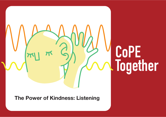## **CoPE Together**

**The Power of Kindness: Listening**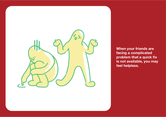

**When your friends are facing a complicated problem that a quick fix is not available, you may feel helpless.**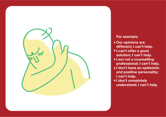

## **For example,**

- **Our opinions are different; I can't help.**
- **I can't offer a good solution; I can't help.**
- **I am not a counselling professional; I can't help.**
- **I don't have an optimistic and positive personality; I can't help.**
- **I don't completely understand; I can't help.**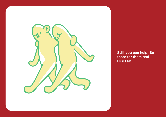

**Still, you can help! Be there for them and LISTEN!**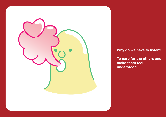

**Why do we have to listen?** 

**To care for the others and make them feel understood.**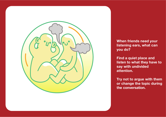

**When friends need your listening ears, what can you do?**

**Find a quiet place and listen to what they have to say with undivided attention.** 

**Try not to argue with them or change the topic during the conversation.**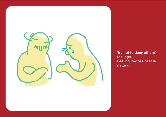

**Try not to deny others' feelings. Feeling low or upset is natural.**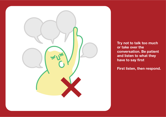

**Try not to talk too much or take over the conversation. Be patient and listen to what they have to say first** 

**First listen, then respond.**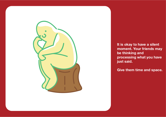

**It is okay to have a silent moment. Your friends may be thinking and processing what you have just said.** 

**Give them time and space.**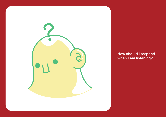

**How should I respond when I am listening?**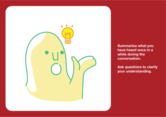

**Summarise what you have heard once in a while during the conversation.** 

**Ask questions to clarify your understanding.**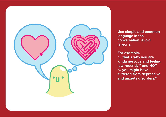

**Use simple and common language in the conversation. Avoid jargons.** 

**For example, "…that's why you are kinda nervous and feeling low recentl y ." and NOT " …you might have suffered from depressive and anxiety disorde rs ."**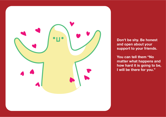

**Don't be shy. Be honest and open about your support to your friends.** 

**You can tell them "No matter what happens and how hard it is going to be, I will be there for you."**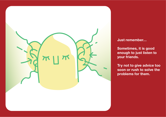

**Just remember…** 

**Sometimes, it is good enough to just listen to your friends.** 

**Try not to give advice too soon or rush to solve the problems for them.**